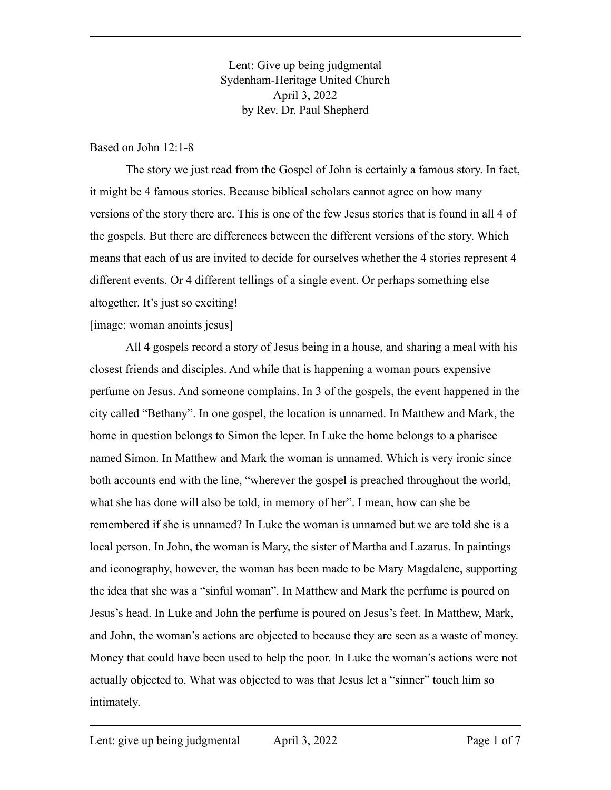Lent: Give up being judgmental Sydenham-Heritage United Church April 3, 2022 by Rev. Dr. Paul Shepherd

### Based on John 12:1-8

The story we just read from the Gospel of John is certainly a famous story. In fact, it might be 4 famous stories. Because biblical scholars cannot agree on how many versions of the story there are. This is one of the few Jesus stories that is found in all 4 of the gospels. But there are differences between the different versions of the story. Which means that each of us are invited to decide for ourselves whether the 4 stories represent 4 different events. Or 4 different tellings of a single event. Or perhaps something else altogether. It's just so exciting!

### [image: woman anoints jesus]

All 4 gospels record a story of Jesus being in a house, and sharing a meal with his closest friends and disciples. And while that is happening a woman pours expensive perfume on Jesus. And someone complains. In 3 of the gospels, the event happened in the city called "Bethany". In one gospel, the location is unnamed. In Matthew and Mark, the home in question belongs to Simon the leper. In Luke the home belongs to a pharisee named Simon. In Matthew and Mark the woman is unnamed. Which is very ironic since both accounts end with the line, "wherever the gospel is preached throughout the world, what she has done will also be told, in memory of her". I mean, how can she be remembered if she is unnamed? In Luke the woman is unnamed but we are told she is a local person. In John, the woman is Mary, the sister of Martha and Lazarus. In paintings and iconography, however, the woman has been made to be Mary Magdalene, supporting the idea that she was a "sinful woman". In Matthew and Mark the perfume is poured on Jesus's head. In Luke and John the perfume is poured on Jesus's feet. In Matthew, Mark, and John, the woman's actions are objected to because they are seen as a waste of money. Money that could have been used to help the poor. In Luke the woman's actions were not actually objected to. What was objected to was that Jesus let a "sinner" touch him so intimately.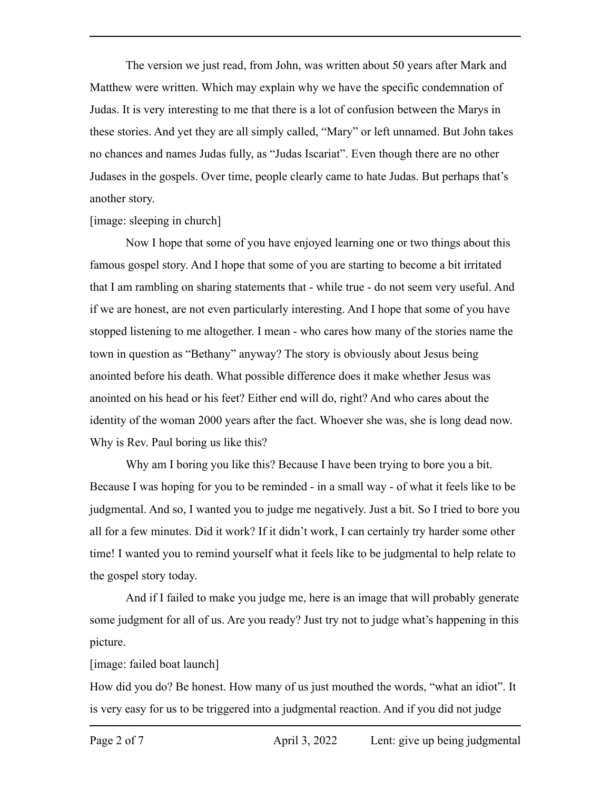The version we just read, from John, was written about 50 years after Mark and Matthew were written. Which may explain why we have the specific condemnation of Judas. It is very interesting to me that there is a lot of confusion between the Marys in these stories. And yet they are all simply called, "Mary" or left unnamed. But John takes no chances and names Judas fully, as "Judas Iscariat". Even though there are no other Judases in the gospels. Over time, people clearly came to hate Judas. But perhaps that's another story.

### [image: sleeping in church]

Now I hope that some of you have enjoyed learning one or two things about this famous gospel story. And I hope that some of you are starting to become a bit irritated that I am rambling on sharing statements that - while true - do not seem very useful. And if we are honest, are not even particularly interesting. And I hope that some of you have stopped listening to me altogether. I mean - who cares how many of the stories name the town in question as "Bethany" anyway? The story is obviously about Jesus being anointed before his death. What possible difference does it make whether Jesus was anointed on his head or his feet? Either end will do, right? And who cares about the identity of the woman 2000 years after the fact. Whoever she was, she is long dead now. Why is Rev. Paul boring us like this?

Why am I boring you like this? Because I have been trying to bore you a bit. Because I was hoping for you to be reminded - in a small way - of what it feels like to be judgmental. And so, I wanted you to judge me negatively. Just a bit. So I tried to bore you all for a few minutes. Did it work? If it didn't work, I can certainly try harder some other time! I wanted you to remind yourself what it feels like to be judgmental to help relate to the gospel story today.

And if I failed to make you judge me, here is an image that will probably generate some judgment for all of us. Are you ready? Just try not to judge what's happening in this picture.

# [image: failed boat launch]

How did you do? Be honest. How many of us just mouthed the words, "what an idiot". It is very easy for us to be triggered into a judgmental reaction. And if you did not judge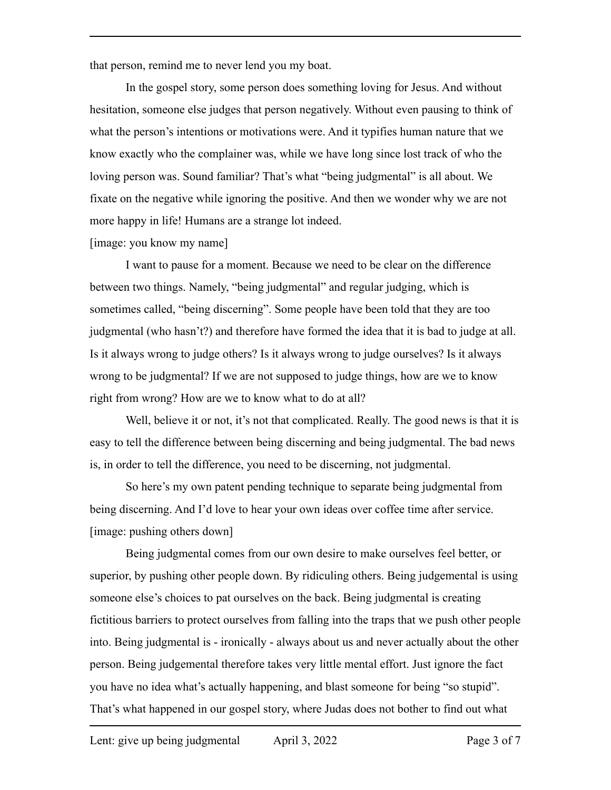that person, remind me to never lend you my boat.

In the gospel story, some person does something loving for Jesus. And without hesitation, someone else judges that person negatively. Without even pausing to think of what the person's intentions or motivations were. And it typifies human nature that we know exactly who the complainer was, while we have long since lost track of who the loving person was. Sound familiar? That's what "being judgmental" is all about. We fixate on the negative while ignoring the positive. And then we wonder why we are not more happy in life! Humans are a strange lot indeed.

[image: you know my name]

I want to pause for a moment. Because we need to be clear on the difference between two things. Namely, "being judgmental" and regular judging, which is sometimes called, "being discerning". Some people have been told that they are too judgmental (who hasn't?) and therefore have formed the idea that it is bad to judge at all. Is it always wrong to judge others? Is it always wrong to judge ourselves? Is it always wrong to be judgmental? If we are not supposed to judge things, how are we to know right from wrong? How are we to know what to do at all?

Well, believe it or not, it's not that complicated. Really. The good news is that it is easy to tell the difference between being discerning and being judgmental. The bad news is, in order to tell the difference, you need to be discerning, not judgmental.

So here's my own patent pending technique to separate being judgmental from being discerning. And I'd love to hear your own ideas over coffee time after service. [image: pushing others down]

Being judgmental comes from our own desire to make ourselves feel better, or superior, by pushing other people down. By ridiculing others. Being judgemental is using someone else's choices to pat ourselves on the back. Being judgmental is creating fictitious barriers to protect ourselves from falling into the traps that we push other people into. Being judgmental is - ironically - always about us and never actually about the other person. Being judgemental therefore takes very little mental effort. Just ignore the fact you have no idea what's actually happening, and blast someone for being "so stupid". That's what happened in our gospel story, where Judas does not bother to find out what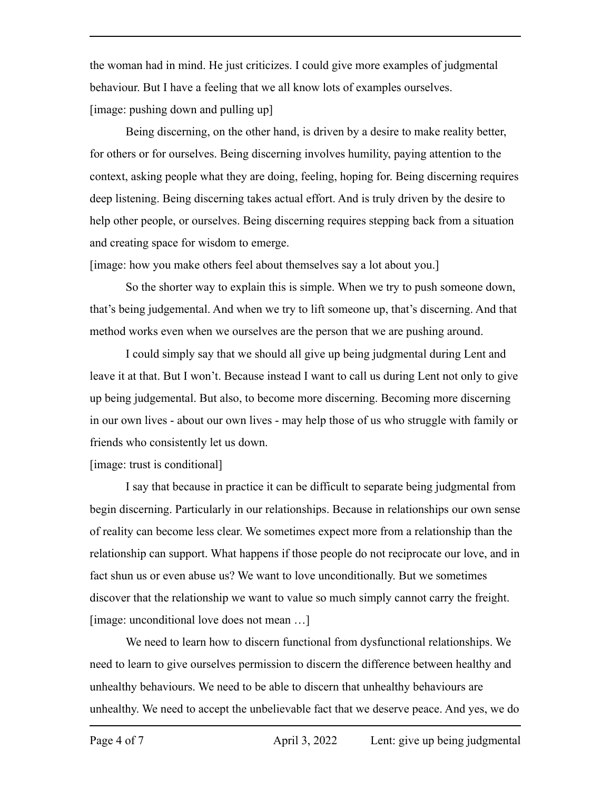the woman had in mind. He just criticizes. I could give more examples of judgmental behaviour. But I have a feeling that we all know lots of examples ourselves. [image: pushing down and pulling up]

Being discerning, on the other hand, is driven by a desire to make reality better, for others or for ourselves. Being discerning involves humility, paying attention to the context, asking people what they are doing, feeling, hoping for. Being discerning requires deep listening. Being discerning takes actual effort. And is truly driven by the desire to help other people, or ourselves. Being discerning requires stepping back from a situation and creating space for wisdom to emerge.

[image: how you make others feel about themselves say a lot about you.]

So the shorter way to explain this is simple. When we try to push someone down, that's being judgemental. And when we try to lift someone up, that's discerning. And that method works even when we ourselves are the person that we are pushing around.

I could simply say that we should all give up being judgmental during Lent and leave it at that. But I won't. Because instead I want to call us during Lent not only to give up being judgemental. But also, to become more discerning. Becoming more discerning in our own lives - about our own lives - may help those of us who struggle with family or friends who consistently let us down.

# [image: trust is conditional]

I say that because in practice it can be difficult to separate being judgmental from begin discerning. Particularly in our relationships. Because in relationships our own sense of reality can become less clear. We sometimes expect more from a relationship than the relationship can support. What happens if those people do not reciprocate our love, and in fact shun us or even abuse us? We want to love unconditionally. But we sometimes discover that the relationship we want to value so much simply cannot carry the freight. [image: unconditional love does not mean ...]

We need to learn how to discern functional from dysfunctional relationships. We need to learn to give ourselves permission to discern the difference between healthy and unhealthy behaviours. We need to be able to discern that unhealthy behaviours are unhealthy. We need to accept the unbelievable fact that we deserve peace. And yes, we do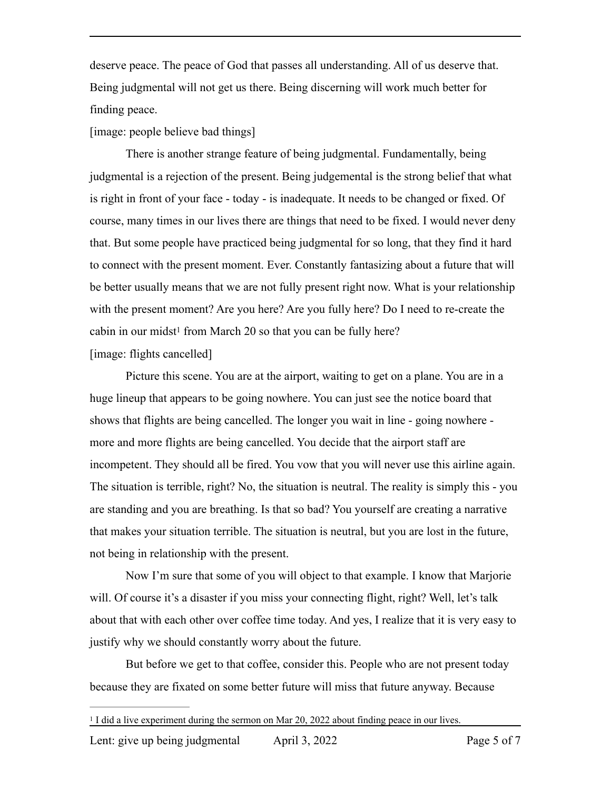deserve peace. The peace of God that passes all understanding. All of us deserve that. Being judgmental will not get us there. Being discerning will work much better for finding peace.

[image: people believe bad things]

There is another strange feature of being judgmental. Fundamentally, being judgmental is a rejection of the present. Being judgemental is the strong belief that what is right in front of your face - today - is inadequate. It needs to be changed or fixed. Of course, many times in our lives there are things that need to be fixed. I would never deny that. But some people have practiced being judgmental for so long, that they find it hard to connect with the present moment. Ever. Constantly fantasizing about a future that will be better usually means that we are not fully present right now. What is your relationship with the present moment? Are you here? Are you fully here? Do I need to re-create the cabin in our midst<sup>1</sup> from March 20 so that you can be fully here? [image: flights cancelled]

<span id="page-4-1"></span>Picture this scene. You are at the airport, waiting to get on a plane. You are in a huge lineup that appears to be going nowhere. You can just see the notice board that shows that flights are being cancelled. The longer you wait in line - going nowhere more and more flights are being cancelled. You decide that the airport staff are incompetent. They should all be fired. You vow that you will never use this airline again. The situation is terrible, right? No, the situation is neutral. The reality is simply this - you are standing and you are breathing. Is that so bad? You yourself are creating a narrative that makes your situation terrible. The situation is neutral, but you are lost in the future, not being in relationship with the present.

Now I'm sure that some of you will object to that example. I know that Marjorie will. Of course it's a disaster if you miss your connecting flight, right? Well, let's talk about that with each other over coffee time today. And yes, I realize that it is very easy to justify why we should constantly worry about the future.

But before we get to that coffee, consider this. People who are not present today because they are fixated on some better future will miss that future anyway. Because

<span id="page-4-0"></span><sup>&</sup>lt;sup>[1](#page-4-1)</sup> I did a live experiment during the sermon on Mar 20, 2022 about finding peace in our lives.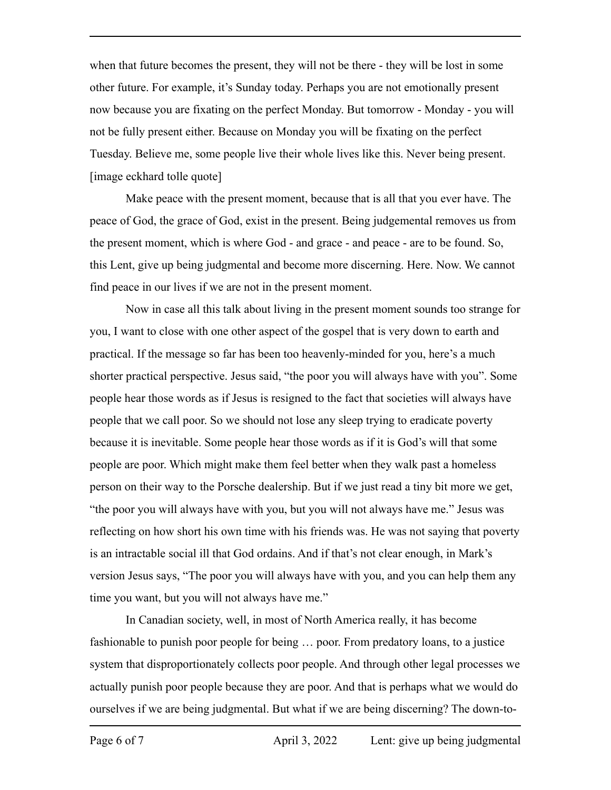when that future becomes the present, they will not be there - they will be lost in some other future. For example, it's Sunday today. Perhaps you are not emotionally present now because you are fixating on the perfect Monday. But tomorrow - Monday - you will not be fully present either. Because on Monday you will be fixating on the perfect Tuesday. Believe me, some people live their whole lives like this. Never being present. [image eckhard tolle quote]

Make peace with the present moment, because that is all that you ever have. The peace of God, the grace of God, exist in the present. Being judgemental removes us from the present moment, which is where God - and grace - and peace - are to be found. So, this Lent, give up being judgmental and become more discerning. Here. Now. We cannot find peace in our lives if we are not in the present moment.

Now in case all this talk about living in the present moment sounds too strange for you, I want to close with one other aspect of the gospel that is very down to earth and practical. If the message so far has been too heavenly-minded for you, here's a much shorter practical perspective. Jesus said, "the poor you will always have with you". Some people hear those words as if Jesus is resigned to the fact that societies will always have people that we call poor. So we should not lose any sleep trying to eradicate poverty because it is inevitable. Some people hear those words as if it is God's will that some people are poor. Which might make them feel better when they walk past a homeless person on their way to the Porsche dealership. But if we just read a tiny bit more we get, "the poor you will always have with you, but you will not always have me." Jesus was reflecting on how short his own time with his friends was. He was not saying that poverty is an intractable social ill that God ordains. And if that's not clear enough, in Mark's version Jesus says, "The poor you will always have with you, and you can help them any time you want, but you will not always have me."

In Canadian society, well, in most of North America really, it has become fashionable to punish poor people for being … poor. From predatory loans, to a justice system that disproportionately collects poor people. And through other legal processes we actually punish poor people because they are poor. And that is perhaps what we would do ourselves if we are being judgmental. But what if we are being discerning? The down-to